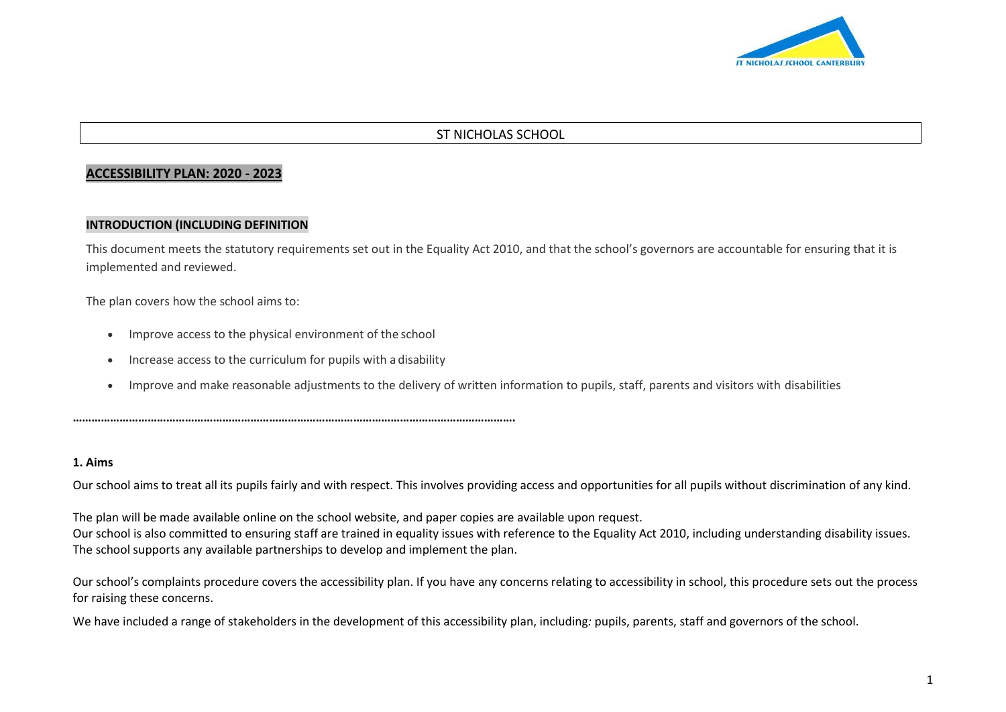

## ST NICHOLAS SCHOOL

#### **ACCESSIBILITY PLAN: 2020 - 2023**

#### **INTRODUCTION (INCLUDING DEFINITION**

This document meets the statutory requirements set out in the Equality Act 2010, and that the school's governors are accountable for ensuring that it is implemented and reviewed.

The plan covers how the school aims to:

- Improve access to the physical environment of the school
- Increase access to the curriculum for pupils with a disability

**…………………………………………………………………………………………………………………………….**

Improve and make reasonable adjustments to the delivery of written information to pupils, staff, parents and visitors with disabilities

#### **1. Aims**

Our school aims to treat all its pupils fairly and with respect. This involves providing access and opportunities for all pupils without discrimination of any kind.

The plan will be made available online on the school website, and paper copies are available upon request. Our school is also committed to ensuring staff are trained in equality issues with reference to the Equality Act 2010, including understanding disability issues. The school supports any available partnerships to develop and implement the plan.

Our school's complaints procedure covers the accessibility plan. If you have any concerns relating to accessibility in school, this procedure sets out the process for raising these concerns.

We have included a range of stakeholders in the development of this accessibility plan, including*:* pupils, parents, staff and governors of the school.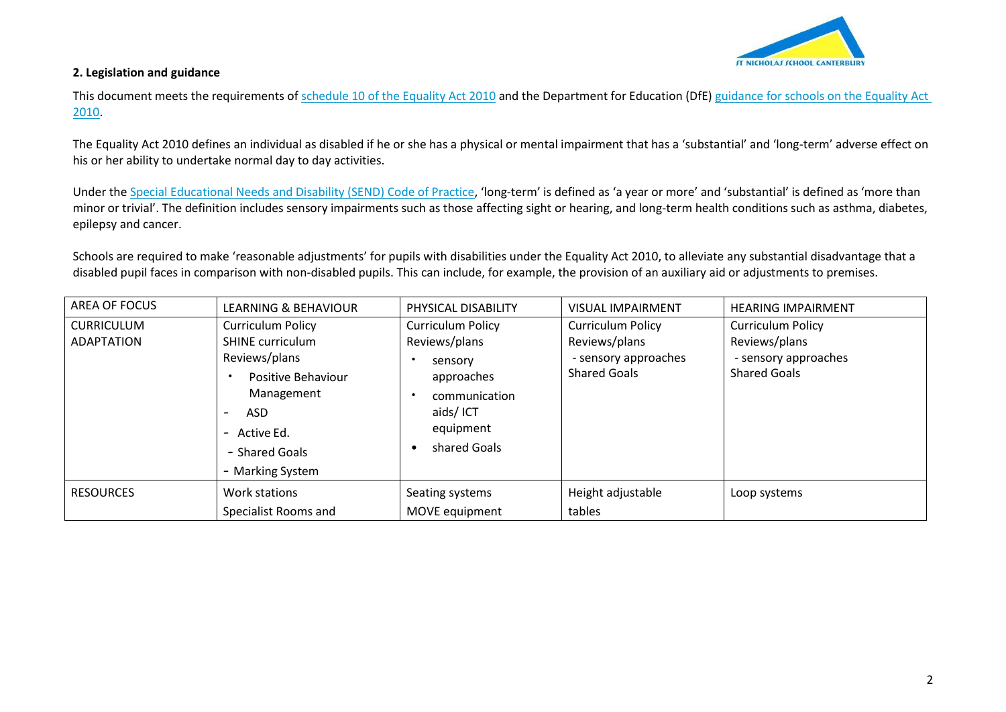

## **2. Legislation and guidance**

This document meets the requirements of [schedule 10 of the Equality Act 2010](http://www.legislation.gov.uk/ukpga/2010/15/schedule/10) and the Department for Education (DfE[\) guidance for schools on the Equality Act](https://www.gov.uk/government/publications/equality-act-2010-advice-for-schools)  [2010.](https://www.gov.uk/government/publications/equality-act-2010-advice-for-schools)

The Equality Act 2010 defines an individual as disabled if he or she has a physical or mental impairment that has a 'substantial' and 'long-term' adverse effect on his or her ability to undertake normal day to day activities.

Under the [Special Educational Needs and Disability \(SEND\) Code of Practice](https://www.gov.uk/government/publications/send-code-of-practice-0-to-25), 'long-term' is defined as 'a year or more' and 'substantial' is defined as 'more than minor or trivial'. The definition includes sensory impairments such as those affecting sight or hearing, and long-term health conditions such as asthma, diabetes, epilepsy and cancer.

Schools are required to make 'reasonable adjustments' for pupils with disabilities under the Equality Act 2010, to alleviate any substantial disadvantage that a disabled pupil faces in comparison with non-disabled pupils. This can include, for example, the provision of an auxiliary aid or adjustments to premises.

| AREA OF FOCUS                          | <b>LEARNING &amp; BEHAVIOUR</b>                                                                                                                                       | PHYSICAL DISABILITY                                                                                                          | <b>VISUAL IMPAIRMENT</b>                                                                 | <b>HEARING IMPAIRMENT</b>                                                                |
|----------------------------------------|-----------------------------------------------------------------------------------------------------------------------------------------------------------------------|------------------------------------------------------------------------------------------------------------------------------|------------------------------------------------------------------------------------------|------------------------------------------------------------------------------------------|
| <b>CURRICULUM</b><br><b>ADAPTATION</b> | <b>Curriculum Policy</b><br><b>SHINE</b> curriculum<br>Reviews/plans<br>Positive Behaviour<br>Management<br>ASD<br>- Active Ed.<br>- Shared Goals<br>- Marking System | <b>Curriculum Policy</b><br>Reviews/plans<br>sensory<br>approaches<br>communication<br>aids/ICT<br>equipment<br>shared Goals | <b>Curriculum Policy</b><br>Reviews/plans<br>- sensory approaches<br><b>Shared Goals</b> | <b>Curriculum Policy</b><br>Reviews/plans<br>- sensory approaches<br><b>Shared Goals</b> |
| <b>RESOURCES</b>                       | Work stations                                                                                                                                                         | Seating systems                                                                                                              | Height adjustable<br>tables                                                              | Loop systems                                                                             |
|                                        | Specialist Rooms and                                                                                                                                                  | MOVE equipment                                                                                                               |                                                                                          |                                                                                          |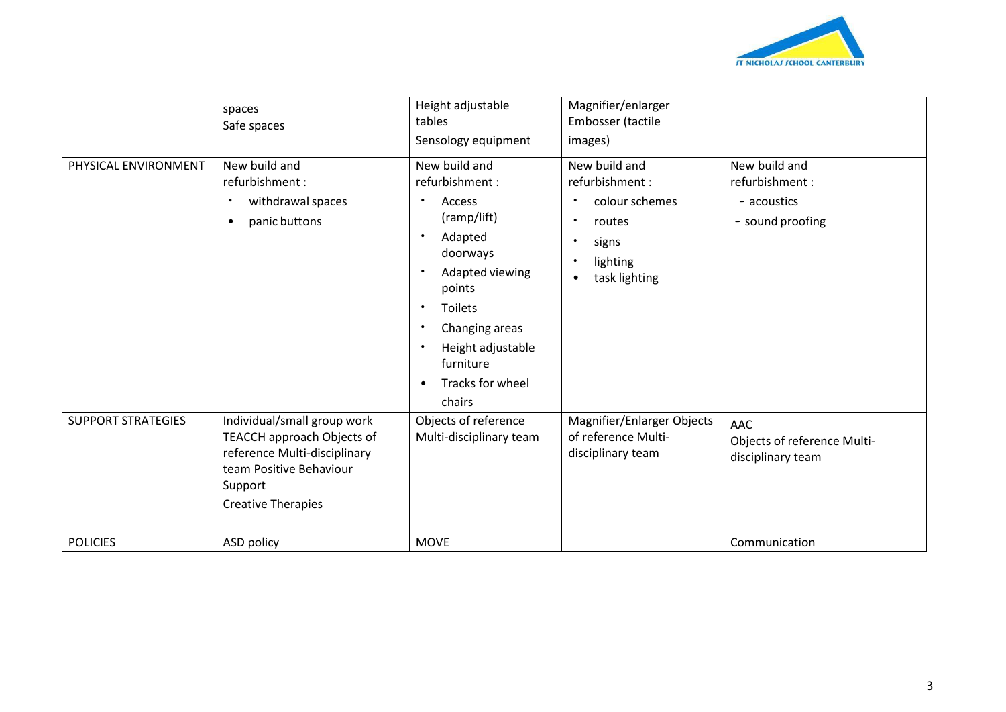

|                           | spaces<br>Safe spaces                                                                                                                                        | Height adjustable<br>tables<br>Sensology equipment                                                                                                                                                                                                                 | Magnifier/enlarger<br>Embosser (tactile<br>images)                                                                                                         |                                                                    |
|---------------------------|--------------------------------------------------------------------------------------------------------------------------------------------------------------|--------------------------------------------------------------------------------------------------------------------------------------------------------------------------------------------------------------------------------------------------------------------|------------------------------------------------------------------------------------------------------------------------------------------------------------|--------------------------------------------------------------------|
| PHYSICAL ENVIRONMENT      | New build and<br>refurbishment:<br>withdrawal spaces<br>panic buttons                                                                                        | New build and<br>refurbishment:<br>Access<br>$\bullet$<br>(ramp/lift)<br>Adapted<br>$\bullet$<br>doorways<br>Adapted viewing<br>$\bullet$<br>points<br>Toilets<br>$\bullet$<br>Changing areas<br>Height adjustable<br>furniture<br>Tracks for wheel<br>٠<br>chairs | New build and<br>refurbishment:<br>colour schemes<br>$\bullet$<br>routes<br>$\bullet$<br>signs<br>٠<br>lighting<br>$\bullet$<br>task lighting<br>$\bullet$ | New build and<br>refurbishment:<br>- acoustics<br>- sound proofing |
| <b>SUPPORT STRATEGIES</b> | Individual/small group work<br>TEACCH approach Objects of<br>reference Multi-disciplinary<br>team Positive Behaviour<br>Support<br><b>Creative Therapies</b> | Objects of reference<br>Multi-disciplinary team                                                                                                                                                                                                                    | Magnifier/Enlarger Objects<br>of reference Multi-<br>disciplinary team                                                                                     | <b>AAC</b><br>Objects of reference Multi-<br>disciplinary team     |
| <b>POLICIES</b>           | ASD policy                                                                                                                                                   | <b>MOVE</b>                                                                                                                                                                                                                                                        |                                                                                                                                                            | Communication                                                      |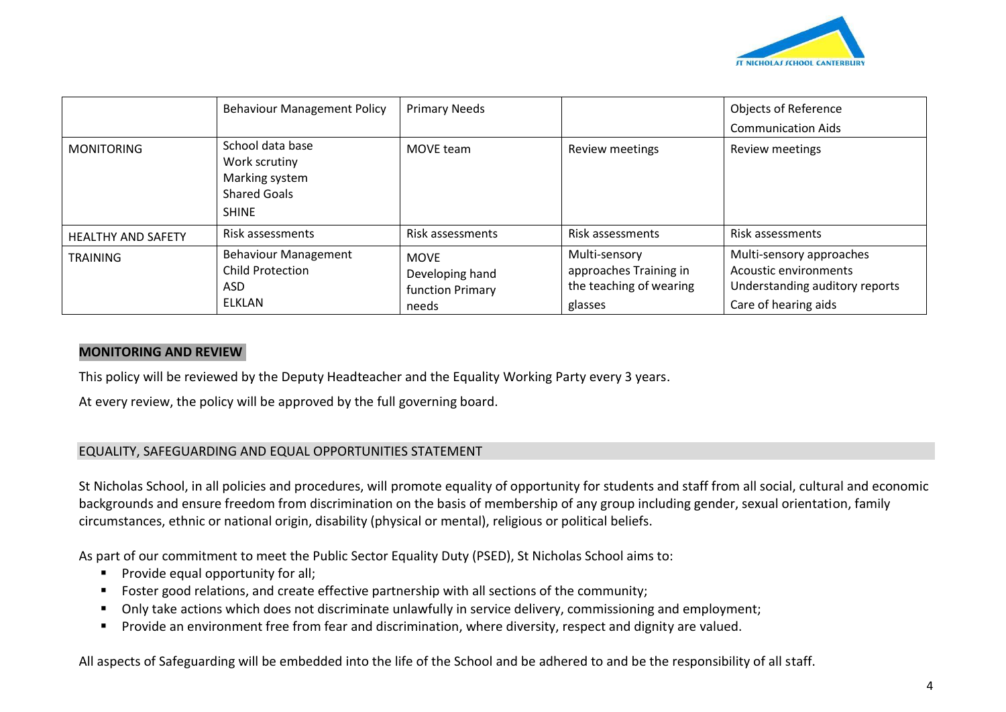

|                           | <b>Behaviour Management Policy</b>                                                         | <b>Primary Needs</b>                                        |                                                                               | <b>Objects of Reference</b><br><b>Communication Aids</b>                                                    |
|---------------------------|--------------------------------------------------------------------------------------------|-------------------------------------------------------------|-------------------------------------------------------------------------------|-------------------------------------------------------------------------------------------------------------|
| <b>MONITORING</b>         | School data base<br>Work scrutiny<br>Marking system<br><b>Shared Goals</b><br><b>SHINE</b> | MOVE team                                                   | Review meetings                                                               | Review meetings                                                                                             |
| <b>HEALTHY AND SAFETY</b> | Risk assessments                                                                           | Risk assessments                                            | Risk assessments                                                              | Risk assessments                                                                                            |
| <b>TRAINING</b>           | <b>Behaviour Management</b><br><b>Child Protection</b><br><b>ASD</b><br>ELKLAN             | <b>MOVE</b><br>Developing hand<br>function Primary<br>needs | Multi-sensory<br>approaches Training in<br>the teaching of wearing<br>glasses | Multi-sensory approaches<br>Acoustic environments<br>Understanding auditory reports<br>Care of hearing aids |

#### **MONITORING AND REVIEW**

This policy will be reviewed by the Deputy Headteacher and the Equality Working Party every 3 years.

At every review, the policy will be approved by the full governing board.

## EQUALITY, SAFEGUARDING AND EQUAL OPPORTUNITIES STATEMENT

St Nicholas School, in all policies and procedures, will promote equality of opportunity for students and staff from all social, cultural and economic backgrounds and ensure freedom from discrimination on the basis of membership of any group including gender, sexual orientation, family circumstances, ethnic or national origin, disability (physical or mental), religious or political beliefs.

As part of our commitment to meet the Public Sector Equality Duty (PSED), St Nicholas School aims to:

- **Provide equal opportunity for all;**
- Foster good relations, and create effective partnership with all sections of the community;
- Only take actions which does not discriminate unlawfully in service delivery, commissioning and employment;
- Provide an environment free from fear and discrimination, where diversity, respect and dignity are valued.

All aspects of Safeguarding will be embedded into the life of the School and be adhered to and be the responsibility of all staff.